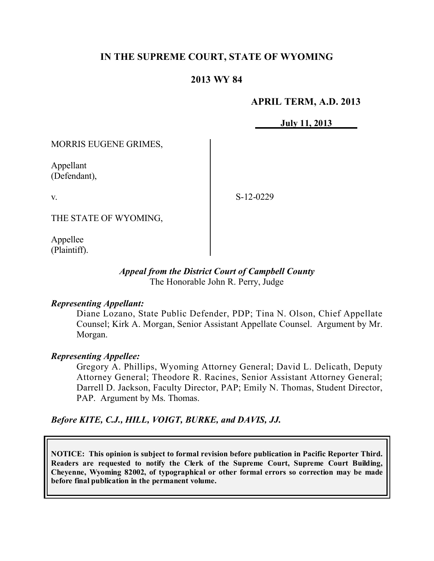## **IN THE SUPREME COURT, STATE OF WYOMING**

### **2013 WY 84**

#### **APRIL TERM, A.D. 2013**

**July 11, 2013**

MORRIS EUGENE GRIMES,

Appellant (Defendant),

v.

S-12-0229

THE STATE OF WYOMING,

Appellee (Plaintiff).

#### *Appeal from the District Court of Campbell County* The Honorable John R. Perry, Judge

#### *Representing Appellant:*

Diane Lozano, State Public Defender, PDP; Tina N. Olson, Chief Appellate Counsel; Kirk A. Morgan, Senior Assistant Appellate Counsel. Argument by Mr. Morgan.

#### *Representing Appellee:*

Gregory A. Phillips, Wyoming Attorney General; David L. Delicath, Deputy Attorney General; Theodore R. Racines, Senior Assistant Attorney General; Darrell D. Jackson, Faculty Director, PAP; Emily N. Thomas, Student Director, PAP. Argument by Ms. Thomas.

*Before KITE, C.J., HILL, VOIGT, BURKE, and DAVIS, JJ.*

**NOTICE: This opinion is subject to formal revision before publication in Pacific Reporter Third. Readers are requested to notify the Clerk of the Supreme Court, Supreme Court Building, Cheyenne, Wyoming 82002, of typographical or other formal errors so correction may be made before final publication in the permanent volume.**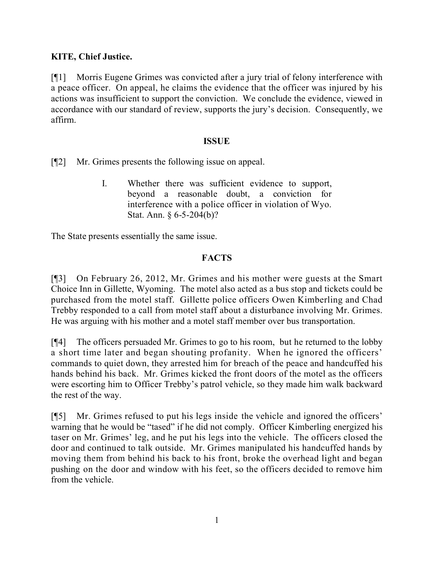## **KITE, Chief Justice.**

[¶1] Morris Eugene Grimes was convicted after a jury trial of felony interference with a peace officer. On appeal, he claims the evidence that the officer was injured by his actions was insufficient to support the conviction. We conclude the evidence, viewed in accordance with our standard of review, supports the jury's decision. Consequently, we affirm.

#### **ISSUE**

[¶2] Mr. Grimes presents the following issue on appeal.

I. Whether there was sufficient evidence to support, beyond a reasonable doubt, a conviction for interference with a police officer in violation of Wyo. Stat. Ann. § 6-5-204(b)?

The State presents essentially the same issue.

## **FACTS**

[¶3] On February 26, 2012, Mr. Grimes and his mother were guests at the Smart Choice Inn in Gillette, Wyoming. The motel also acted as a bus stop and tickets could be purchased from the motel staff. Gillette police officers Owen Kimberling and Chad Trebby responded to a call from motel staff about a disturbance involving Mr. Grimes. He was arguing with his mother and a motel staff member over bus transportation.

[¶4] The officers persuaded Mr. Grimes to go to his room, but he returned to the lobby a short time later and began shouting profanity. When he ignored the officers' commands to quiet down, they arrested him for breach of the peace and handcuffed his hands behind his back. Mr. Grimes kicked the front doors of the motel as the officers were escorting him to Officer Trebby's patrol vehicle, so they made him walk backward the rest of the way.

[¶5] Mr. Grimes refused to put his legs inside the vehicle and ignored the officers' warning that he would be "tased" if he did not comply. Officer Kimberling energized his taser on Mr. Grimes' leg, and he put his legs into the vehicle. The officers closed the door and continued to talk outside. Mr. Grimes manipulated his handcuffed hands by moving them from behind his back to his front, broke the overhead light and began pushing on the door and window with his feet, so the officers decided to remove him from the vehicle.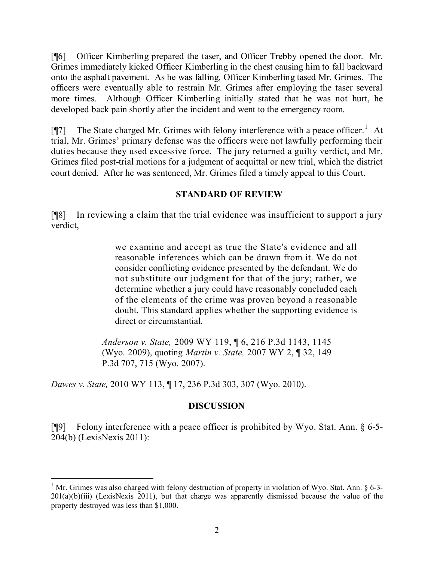[¶6] Officer Kimberling prepared the taser, and Officer Trebby opened the door. Mr. Grimes immediately kicked Officer Kimberling in the chest causing him to fall backward onto the asphalt pavement. As he was falling, Officer Kimberling tased Mr. Grimes. The officers were eventually able to restrain Mr. Grimes after employing the taser several more times. Although Officer Kimberling initially stated that he was not hurt, he developed back pain shortly after the incident and went to the emergency room.

[ $[$ ] The State charged Mr. Grimes with felony interference with a peace officer.<sup>1</sup> At trial, Mr. Grimes' primary defense was the officers were not lawfully performing their duties because they used excessive force. The jury returned a guilty verdict, and Mr. Grimes filed post-trial motions for a judgment of acquittal or new trial, which the district court denied. After he was sentenced, Mr. Grimes filed a timely appeal to this Court.

### **STANDARD OF REVIEW**

[¶8] In reviewing a claim that the trial evidence was insufficient to support a jury verdict,

> we examine and accept as true the State's evidence and all reasonable inferences which can be drawn from it. We do not consider conflicting evidence presented by the defendant. We do not substitute our judgment for that of the jury; rather, we determine whether a jury could have reasonably concluded each of the elements of the crime was proven beyond a reasonable doubt. This standard applies whether the supporting evidence is direct or circumstantial.

*Anderson v. State,* 2009 WY 119, ¶ 6, 216 P.3d 1143, 1145 (Wyo. 2009), quoting *Martin v. State,* 2007 WY 2, ¶ 32, 149 P.3d 707, 715 (Wyo. 2007).

*Dawes v. State,* 2010 WY 113, ¶ 17, 236 P.3d 303, 307 (Wyo. 2010).

# **DISCUSSION**

[¶9] Felony interference with a peace officer is prohibited by Wyo. Stat. Ann. § 6-5- 204(b) (LexisNexis 2011):

<sup>&</sup>lt;sup>1</sup> Mr. Grimes was also charged with felony destruction of property in violation of Wyo. Stat. Ann. § 6-3- $201(a)(b)(iii)$  (LexisNexis 2011), but that charge was apparently dismissed because the value of the property destroyed was less than \$1,000.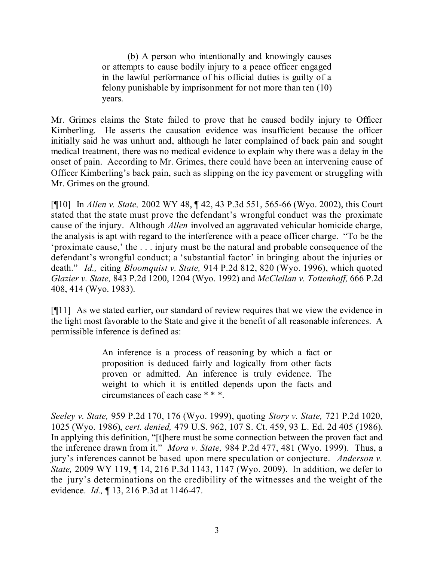(b) A person who intentionally and knowingly causes or attempts to cause bodily injury to a peace officer engaged in the lawful performance of his official duties is guilty of a felony punishable by imprisonment for not more than ten (10) years.

Mr. Grimes claims the State failed to prove that he caused bodily injury to Officer Kimberling. He asserts the causation evidence was insufficient because the officer initially said he was unhurt and, although he later complained of back pain and sought medical treatment, there was no medical evidence to explain why there was a delay in the onset of pain. According to Mr. Grimes, there could have been an intervening cause of Officer Kimberling's back pain, such as slipping on the icy pavement or struggling with Mr. Grimes on the ground.

[¶10] In *Allen v. State,* 2002 WY 48, ¶ 42, 43 P.3d 551, 565-66 (Wyo. 2002), this Court stated that the state must prove the defendant's wrongful conduct was the proximate cause of the injury. Although *Allen* involved an aggravated vehicular homicide charge, the analysis is apt with regard to the interference with a peace officer charge. "To be the 'proximate cause,' the . . . injury must be the natural and probable consequence of the defendant's wrongful conduct; a 'substantial factor' in bringing about the injuries or death." *Id.,* citing *Bloomquist v. State,* 914 P.2d 812, 820 (Wyo. 1996), which quoted *Glazier v. State,* 843 P.2d 1200, 1204 (Wyo. 1992) and *McClellan v. Tottenhoff,* 666 P.2d 408, 414 (Wyo. 1983).

[¶11] As we stated earlier, our standard of review requires that we view the evidence in the light most favorable to the State and give it the benefit of all reasonable inferences. A permissible inference is defined as:

> An inference is a process of reasoning by which a fact or proposition is deduced fairly and logically from other facts proven or admitted. An inference is truly evidence. The weight to which it is entitled depends upon the facts and circumstances of each case \* \* \*.

*Seeley v. State,* 959 P.2d 170, 176 (Wyo. 1999), quoting *Story v. State,* 721 P.2d 1020, 1025 (Wyo. 1986), *cert. denied,* 479 U.S. 962, 107 S. Ct. 459, 93 L. Ed. 2d 405 (1986). In applying this definition, "[t]here must be some connection between the proven fact and the inference drawn from it." *Mora v. State,* 984 P.2d 477, 481 (Wyo. 1999). Thus, a jury's inferences cannot be based upon mere speculation or conjecture. *Anderson v. State,* 2009 WY 119, ¶ 14, 216 P.3d 1143, 1147 (Wyo. 2009). In addition, we defer to the jury's determinations on the credibility of the witnesses and the weight of the evidence. *Id.,* ¶ 13, 216 P.3d at 1146-47.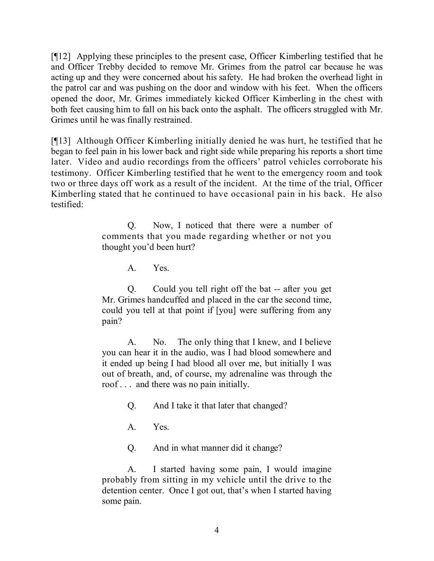[¶12] Applying these principles to the present case, Officer Kimberling testified that he and Officer Trebby decided to remove Mr. Grimes from the patrol car because he was acting up and they were concerned about his safety. He had broken the overhead light in the patrol car and was pushing on the door and window with his feet. When the officers opened the door, Mr. Grimes immediately kicked Officer Kimberling in the chest with both feet causing him to fall on his back onto the asphalt. The officers struggled with Mr. Grimes until he was finally restrained.

[¶13] Although Officer Kimberling initially denied he was hurt, he testified that he began to feel pain in his lower back and right side while preparing his reports a short time later. Video and audio recordings from the officers' patrol vehicles corroborate his testimony. Officer Kimberling testified that he went to the emergency room and took two or three days off work as a result of the incident. At the time of the trial, Officer Kimberling stated that he continued to have occasional pain in his back. He also testified:

> Q. Now, I noticed that there were a number of comments that you made regarding whether or not you thought you'd been hurt?

> > A. Yes.

Q. Could you tell right off the bat -- after you get Mr. Grimes handcuffed and placed in the car the second time, could you tell at that point if [you] were suffering from any pain?

A. No. The only thing that I knew, and I believe you can hear it in the audio, was I had blood somewhere and it ended up being I had blood all over me, but initially I was out of breath, and, of course, my adrenaline was through the roof . . . and there was no pain initially.

Q. And I take it that later that changed?

A. Yes.

Q. And in what manner did it change?

A. I started having some pain, I would imagine probably from sitting in my vehicle until the drive to the detention center. Once I got out, that's when I started having some pain.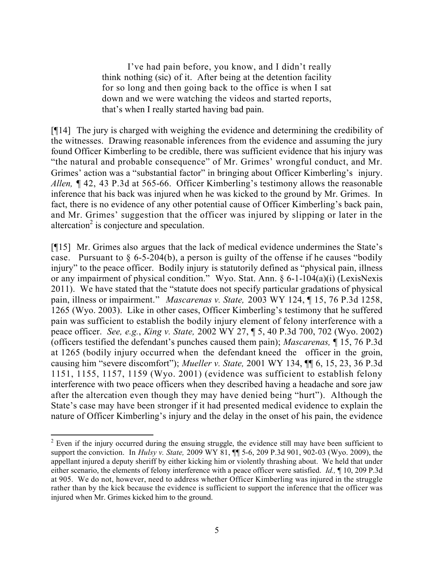I've had pain before, you know, and I didn't really think nothing (sic) of it. After being at the detention facility for so long and then going back to the office is when I sat down and we were watching the videos and started reports, that's when I really started having bad pain.

[¶14] The jury is charged with weighing the evidence and determining the credibility of the witnesses. Drawing reasonable inferences from the evidence and assuming the jury found Officer Kimberling to be credible, there was sufficient evidence that his injury was "the natural and probable consequence" of Mr. Grimes' wrongful conduct, and Mr. Grimes' action was a "substantial factor" in bringing about Officer Kimberling's injury. *Allen,* ¶ 42, 43 P.3d at 565-66. Officer Kimberling's testimony allows the reasonable inference that his back was injured when he was kicked to the ground by Mr. Grimes. In fact, there is no evidence of any other potential cause of Officer Kimberling's back pain, and Mr. Grimes' suggestion that the officer was injured by slipping or later in the altercation<sup>2</sup> is conjecture and speculation.

[¶15] Mr. Grimes also argues that the lack of medical evidence undermines the State's case. Pursuant to  $\S$  6-5-204(b), a person is guilty of the offense if he causes "bodily injury" to the peace officer. Bodily injury is statutorily defined as "physical pain, illness or any impairment of physical condition." Wyo. Stat. Ann. § 6-1-104(a)(i) (LexisNexis 2011). We have stated that the "statute does not specify particular gradations of physical pain, illness or impairment." *Mascarenas v. State,* 2003 WY 124, ¶ 15, 76 P.3d 1258, 1265 (Wyo. 2003). Like in other cases, Officer Kimberling's testimony that he suffered pain was sufficient to establish the bodily injury element of felony interference with a peace officer. *See, e.g.*, *King v. State,* 2002 WY 27, ¶ 5, 40 P.3d 700, 702 (Wyo. 2002) (officers testified the defendant's punches caused them pain); *Mascarenas,* ¶ 15, 76 P.3d at 1265 (bodily injury occurred when the defendant kneed the officer in the groin, causing him "severe discomfort"); *Mueller v. State,* 2001 WY 134, ¶¶ 6, 15, 23, 36 P.3d 1151, 1155, 1157, 1159 (Wyo. 2001) (evidence was sufficient to establish felony interference with two peace officers when they described having a headache and sore jaw after the altercation even though they may have denied being "hurt"). Although the State's case may have been stronger if it had presented medical evidence to explain the nature of Officer Kimberling's injury and the delay in the onset of his pain, the evidence

 $2$  Even if the injury occurred during the ensuing struggle, the evidence still may have been sufficient to support the conviction. In *Hulsy v. State,* 2009 WY 81, ¶¶ 5-6, 209 P.3d 901, 902-03 (Wyo. 2009), the appellant injured a deputy sheriff by either kicking him or violently thrashing about. We held that under either scenario, the elements of felony interference with a peace officer were satisfied. *Id.,* ¶ 10, 209 P.3d at 905. We do not, however, need to address whether Officer Kimberling was injured in the struggle rather than by the kick because the evidence is sufficient to support the inference that the officer was injured when Mr. Grimes kicked him to the ground.